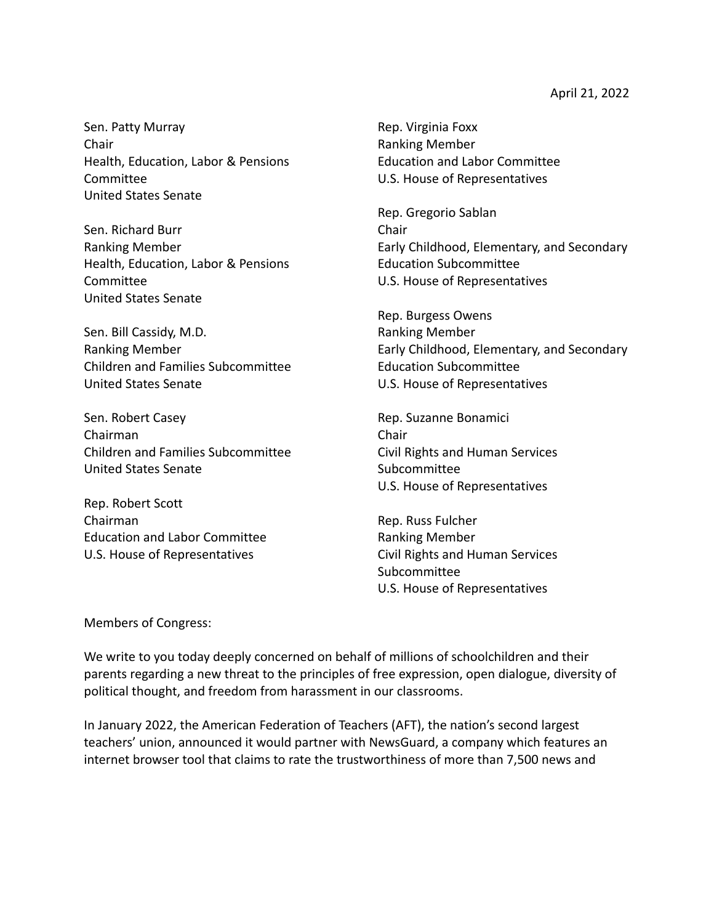Sen. Patty Murray Chair Health, Education, Labor & Pensions Committee United States Senate

Sen. Richard Burr Ranking Member Health, Education, Labor & Pensions Committee United States Senate

Sen. Bill Cassidy, M.D. Ranking Member Children and Families Subcommittee United States Senate

Sen. Robert Casey Chairman Children and Families Subcommittee United States Senate

Rep. Robert Scott Chairman Education and Labor Committee U.S. House of Representatives

Rep. Virginia Foxx Ranking Member Education and Labor Committee U.S. House of Representatives

Rep. Gregorio Sablan Chair Early Childhood, Elementary, and Secondary Education Subcommittee U.S. House of Representatives

Rep. Burgess Owens Ranking Member Early Childhood, Elementary, and Secondary Education Subcommittee U.S. House of Representatives

Rep. Suzanne Bonamici Chair Civil Rights and Human Services Subcommittee U.S. House of Representatives

Rep. Russ Fulcher Ranking Member Civil Rights and Human Services **Subcommittee** U.S. House of Representatives

Members of Congress:

We write to you today deeply concerned on behalf of millions of schoolchildren and their parents regarding a new threat to the principles of free expression, open dialogue, diversity of political thought, and freedom from harassment in our classrooms.

In January 2022, the American Federation of Teachers (AFT), the nation's second largest teachers' union, announced it would partner with NewsGuard, a company which features an internet browser tool that claims to rate the trustworthiness of more than 7,500 news and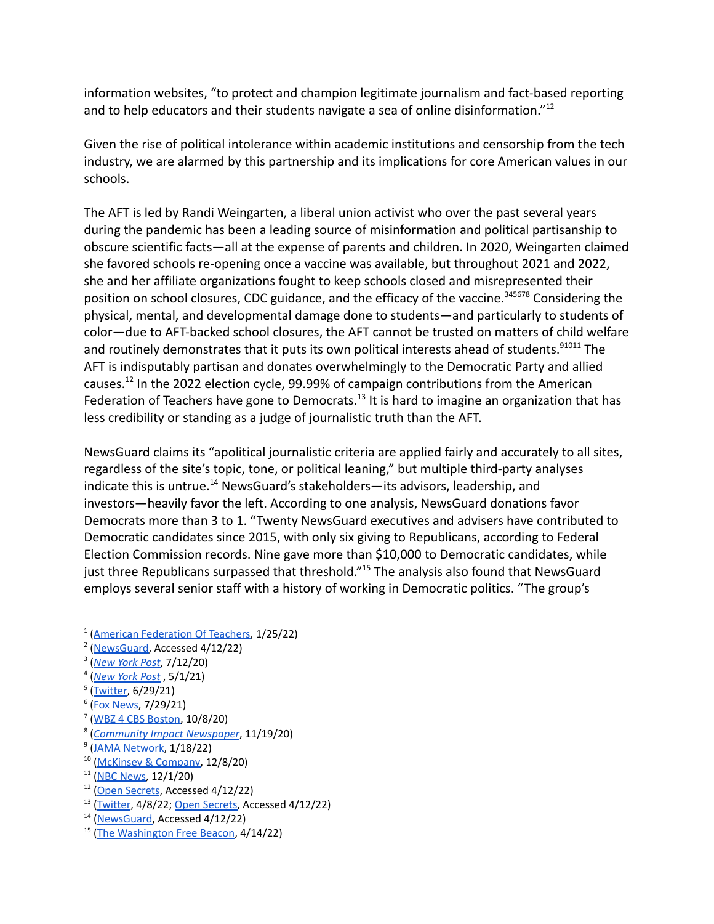information websites, "to protect and champion legitimate journalism and fact-based reporting and to help educators and their students navigate a sea of online disinformation."<sup>12</sup>

Given the rise of political intolerance within academic institutions and censorship from the tech industry, we are alarmed by this partnership and its implications for core American values in our schools.

The AFT is led by Randi Weingarten, a liberal union activist who over the past several years during the pandemic has been a leading source of misinformation and political partisanship to obscure scientific facts—all at the expense of parents and children. In 2020, Weingarten claimed she favored schools re-opening once a vaccine was available, but throughout 2021 and 2022, she and her affiliate organizations fought to keep schools closed and misrepresented their position on school closures, CDC guidance, and the efficacy of the vaccine.<sup>345678</sup> Considering the physical, mental, and developmental damage done to students—and particularly to students of color—due to AFT-backed school closures, the AFT cannot be trusted on matters of child welfare and routinely demonstrates that it puts its own political interests ahead of students.<sup>91011</sup> The AFT is indisputably partisan and donates overwhelmingly to the Democratic Party and allied causes.<sup>12</sup> In the 2022 election cycle, 99.99% of campaign contributions from the American Federation of Teachers have gone to Democrats.<sup>13</sup> It is hard to imagine an organization that has less credibility or standing as a judge of journalistic truth than the AFT.

NewsGuard claims its "apolitical journalistic criteria are applied fairly and accurately to all sites, regardless of the site's topic, tone, or political leaning," but multiple third-party analyses indicate this is untrue.<sup>14</sup> NewsGuard's stakeholders—its advisors, leadership, and investors—heavily favor the left. According to one analysis, NewsGuard donations favor Democrats more than 3 to 1. "Twenty NewsGuard executives and advisers have contributed to Democratic candidates since 2015, with only six giving to Republicans, according to Federal Election Commission records. Nine gave more than \$10,000 to Democratic candidates, while just three Republicans surpassed that threshold."<sup>15</sup> The analysis also found that NewsGuard employs several senior staff with a history of working in Democratic politics. "The group's

4 (*[New](https://nypost.com/2021/05/01/teachers-union-collaborated-with-cdc-on-school-reopening-emails/) York Post* , 5/1/21)

- <sup>6</sup> (<u>Fox News</u>, 7/29/21)
- 7 (WBZ 4 CBS [Boston,](https://boston.cbslocal.com/2020/10/08/boston-teachers-union-coronavirus-in-person-learning/) 10/8/20)
- 8 (*[Community](https://communityimpact.com/houston/heights-river-oaks-montrose/education/2020/11/19/houston-federation-of-teachers-calls-for-return-to-all-virtual-learning-after-thanksgiving/) Impact Newspaper*, 11/19/20)
- <sup>9</sup> (JAMA [Network,](https://jamanetwork.com/journals/jamapediatrics/fullarticle/2788069#:~:text=A%20high%2Dquality%20US%20microsimulation,closures%20throughout%20the%20following%20year) 1/18/22)
- <sup>10</sup> [\(McKinsey](https://www.mckinsey.com/industries/public-and-social-sector/our-insights/covid-19-and-learning-loss-disparities-grow-and-students-need-help) & Company, 12/8/20)
- $11$  (NBC [News](https://www.nbcnews.com/news/education/when-covid-19-closed-schools-black-hispanic-poor-kids-took-n1249352), 12/1/20)
- <sup>12</sup> (Open [Secrets](https://www.opensecrets.org/orgs/american-federation-of-teachers/summary?id=D000000083), Accessed 4/12/22)
- <sup>13</sup> [\(Twitter](https://twitter.com/DeAngelisCorey/status/1512448412112855047), 4/8/22; Open [Secrets,](https://www.opensecrets.org/orgs/american-federation-of-teachers/totals?id=D000000083) Accessed 4/12/22)
- <sup>14</sup> [\(NewsGuard,](https://www.newsguardtech.com/newsguard-faq/#ratingprocess) Accessed 4/12/22)
- <sup>15</sup> (The [Washington](https://freebeacon.com/media/democrats-dominate-misinformation-firm-working-with-teachers-union/) Free Beacon, 4/14/22)

<sup>&</sup>lt;sup>1</sup> (American [Federation](https://www.aft.org/press-release/aft-partners-newsguard-combat-misinformation-online) Of Teachers, 1/25/22)

<sup>&</sup>lt;sup>2</sup> [\(NewsGuard,](https://www.newsguardtech.com/newsguard-faq/#whatisnewsguard) Accessed 4/12/22)

<sup>3</sup> (*[New](https://nypost.com/2020/07/12/weingarten-no-way-schools-open-this-fall-without-funding/) York Post*, 7/12/20)

<sup>&</sup>lt;sup>5</sup> [\(Twitter](https://twitter.com/rweingarten/status/1409986984479760386), 6/29/21)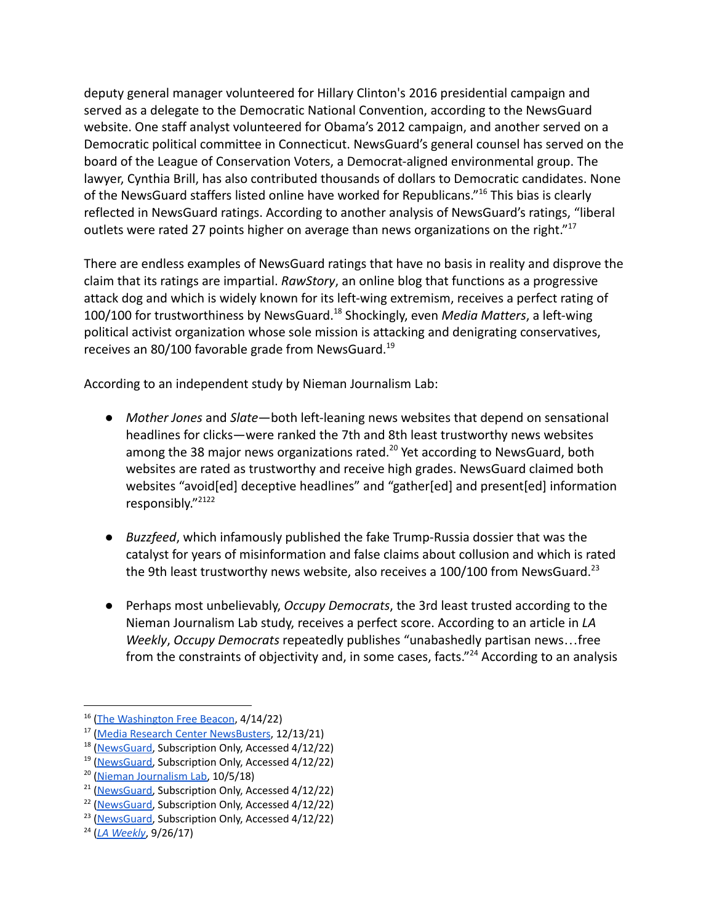deputy general manager volunteered for Hillary Clinton's 2016 presidential campaign and served as a delegate to the Democratic National Convention, according to the NewsGuard website. One staff analyst volunteered for Obama's 2012 campaign, and another served on a Democratic political committee in Connecticut. NewsGuard's general counsel has served on the board of the League of Conservation Voters, a Democrat-aligned environmental group. The lawyer, Cynthia Brill, has also contributed thousands of dollars to Democratic candidates. None of the NewsGuard staffers listed online have worked for Republicans."<sup>16</sup> This bias is clearly reflected in NewsGuard ratings. According to another analysis of NewsGuard's ratings, "liberal outlets were rated 27 points higher on average than news organizations on the right."<sup>17</sup>

There are endless examples of NewsGuard ratings that have no basis in reality and disprove the claim that its ratings are impartial. *RawStory*, an online blog that functions as a progressive attack dog and which is widely known for its left-wing extremism, receives a perfect rating of 100/100 for trustworthiness by NewsGuard.<sup>18</sup> Shockingly, even *Media Matters*, a left-wing political activist organization whose sole mission is attacking and denigrating conservatives, receives an 80/100 favorable grade from NewsGuard.<sup>19</sup>

According to an independent study by Nieman Journalism Lab:

- *Mother Jones* and *Slate*—both left-leaning news websites that depend on sensational headlines for clicks—were ranked the 7th and 8th least trustworthy news websites among the 38 major news organizations rated.<sup>20</sup> Yet according to NewsGuard, both websites are rated as trustworthy and receive high grades. NewsGuard claimed both websites "avoid[ed] deceptive headlines" and "gather[ed] and present[ed] information responsibly."<sup>2122</sup>
- *Buzzfeed*, which infamously published the fake Trump-Russia dossier that was the catalyst for years of misinformation and false claims about collusion and which is rated the 9th least trustworthy news website, also receives a 100/100 from NewsGuard.<sup>23</sup>
- Perhaps most unbelievably, *Occupy Democrats*, the 3rd least trusted according to the Nieman Journalism Lab study, receives a perfect score. According to an article in *LA Weekly*, *Occupy Democrats* repeatedly publishes "unabashedly partisan news…free from the constraints of objectivity and, in some cases, facts."<sup>24</sup> According to an analysis

<sup>&</sup>lt;sup>16</sup> (The [Washington](https://freebeacon.com/media/democrats-dominate-misinformation-firm-working-with-teachers-union/) Free Beacon, 4/14/22)

<sup>&</sup>lt;sup>17</sup> (Media Research Center [NewsBusters](https://www.newsbusters.org/blogs/free-speech/joseph-vazquez/2021/12/13/study-newsguard-ratings-system-heavily-skews-favor-left), 12/13/21)

<sup>18</sup> [\(NewsGuard,](https://api.newsguardtech.com/label/rawstory.com) Subscription Only, Accessed 4/12/22)

<sup>&</sup>lt;sup>19</sup> [\(NewsGuard,](https://api.newsguardtech.com/label/mediamatters.org) Subscription Only, Accessed 4/12/22)

<sup>&</sup>lt;sup>20</sup> (Nieman [Journalism](https://www.niemanlab.org/2018/10/heres-how-much-americans-trust-38-major-news-organizations-hint-not-all-that-much/) Lab, 10/5/18)

<sup>&</sup>lt;sup>21</sup> [\(NewsGuard,](https://api.newsguardtech.com/label/motherjones.com) Subscription Only, Accessed 4/12/22)

<sup>&</sup>lt;sup>22</sup> [\(NewsGuard,](https://api.newsguardtech.com/label/slate.com) Subscription Only, Accessed 4/12/22)

<sup>&</sup>lt;sup>23</sup> [\(NewsGuard,](https://api.newsguardtech.com/label/buzzfeednews.com) Subscription Only, Accessed 4/12/22)

<sup>24</sup> (*LA [Weekly](https://www.laweekly.com/behind-the-scenes-at-occupy-democrats-the-left-wings-answer-to-fake-news/)*, 9/26/17)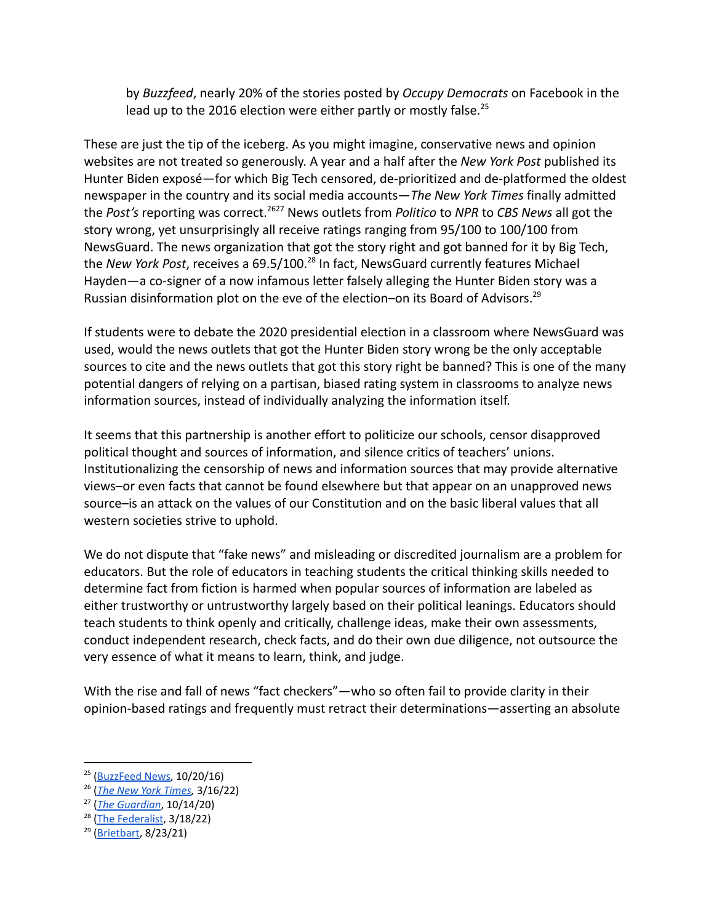by *Buzzfeed*, nearly 20% of the stories posted by *Occupy Democrats* on Facebook in the lead up to the 2016 election were either partly or mostly false. $^{25}$ 

These are just the tip of the iceberg. As you might imagine, conservative news and opinion websites are not treated so generously. A year and a half after the *New York Post* published its Hunter Biden exposé—for which Big Tech censored, de-prioritized and de-platformed the oldest newspaper in the country and its social media accounts—*The New York Times* finally admitted the *Post's* reporting was correct.<sup>2627</sup> News outlets from *Politico* to *NPR* to *CBS News* all got the story wrong, yet unsurprisingly all receive ratings ranging from 95/100 to 100/100 from NewsGuard. The news organization that got the story right and got banned for it by Big Tech, the *New York Post, receives a 69.5/100.<sup>28</sup> In fact, NewsGuard currently features Michael* Hayden—a co-signer of a now infamous letter falsely alleging the Hunter Biden story was a Russian disinformation plot on the eve of the election-on its Board of Advisors.<sup>29</sup>

If students were to debate the 2020 presidential election in a classroom where NewsGuard was used, would the news outlets that got the Hunter Biden story wrong be the only acceptable sources to cite and the news outlets that got this story right be banned? This is one of the many potential dangers of relying on a partisan, biased rating system in classrooms to analyze news information sources, instead of individually analyzing the information itself.

It seems that this partnership is another effort to politicize our schools, censor disapproved political thought and sources of information, and silence critics of teachers' unions. Institutionalizing the censorship of news and information sources that may provide alternative views–or even facts that cannot be found elsewhere but that appear on an unapproved news source–is an attack on the values of our Constitution and on the basic liberal values that all western societies strive to uphold.

We do not dispute that "fake news" and misleading or discredited journalism are a problem for educators. But the role of educators in teaching students the critical thinking skills needed to determine fact from fiction is harmed when popular sources of information are labeled as either trustworthy or untrustworthy largely based on their political leanings. Educators should teach students to think openly and critically, challenge ideas, make their own assessments, conduct independent research, check facts, and do their own due diligence, not outsource the very essence of what it means to learn, think, and judge.

With the rise and fall of news "fact checkers"—who so often fail to provide clarity in their opinion-based ratings and frequently must retract their determinations—asserting an absolute

 $25$  [\(BuzzFeed](https://www.buzzfeednews.com/article/craigsilverman/partisan-fb-pages-analysis#.wo2EG4oed) News, 10/20/16)

<sup>26</sup> (*The New York [Times](https://www.nytimes.com/2022/03/16/us/politics/hunter-biden-tax-bill-investigation.html),* 3/16/22)

<sup>27</sup> (*The [Guardian](https://www.theguardian.com/technology/2020/oct/14/facebook-twitter-new-york-post-hunter-biden)*, 10/14/20)

<sup>28</sup> (The [Federalist](https://thefederalist.com/2022/03/18/left-wing-rating-agency-grades-media-that-botched-hunter-biden-story-with-100-percent-credibility/), 3/18/22)

<sup>&</sup>lt;sup>29</sup> [\(Brietbart,](https://www.breitbart.com/tech/2021/08/23/purportedly-neutral-newsguard-has-partisan-clown-michael-hayden-on-board/) 8/23/21)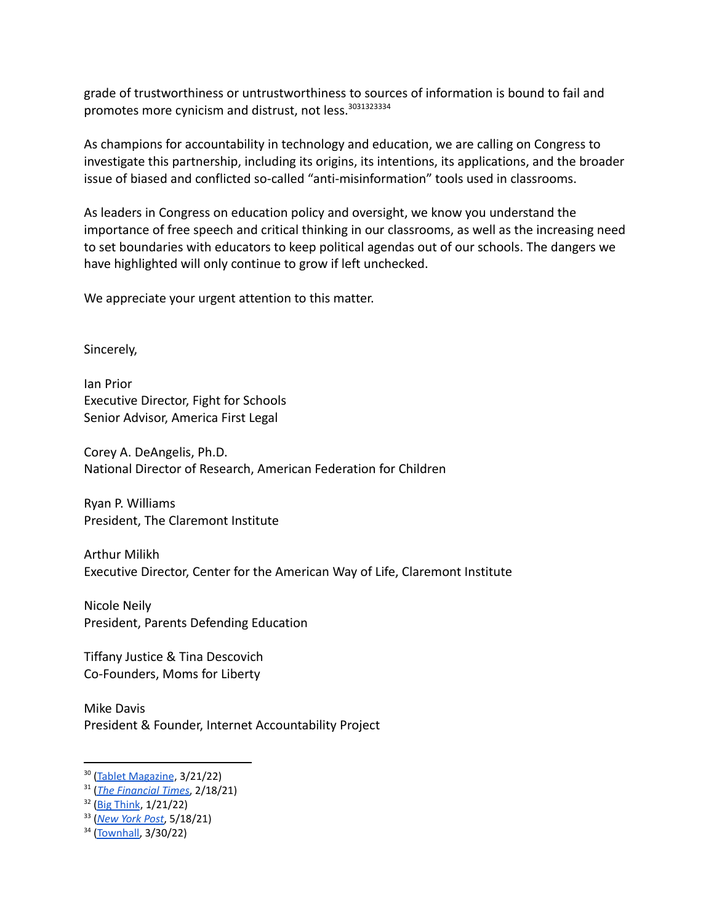grade of trustworthiness or untrustworthiness to sources of information is bound to fail and promotes more cynicism and distrust, not less.<sup>3031323334</sup>

As champions for accountability in technology and education, we are calling on Congress to investigate this partnership, including its origins, its intentions, its applications, and the broader issue of biased and conflicted so-called "anti-misinformation" tools used in classrooms.

As leaders in Congress on education policy and oversight, we know you understand the importance of free speech and critical thinking in our classrooms, as well as the increasing need to set boundaries with educators to keep political agendas out of our schools. The dangers we have highlighted will only continue to grow if left unchecked.

We appreciate your urgent attention to this matter.

Sincerely,

Ian Prior Executive Director, Fight for Schools Senior Advisor, America First Legal

Corey A. DeAngelis, Ph.D. National Director of Research, American Federation for Children

Ryan P. Williams President, The Claremont Institute

Arthur Milikh Executive Director, Center for the American Way of Life, Claremont Institute

Nicole Neily President, Parents Defending Education

Tiffany Justice & Tina Descovich Co-Founders, Moms for Liberty

Mike Davis President & Founder, Internet Accountability Project

<sup>&</sup>lt;sup>30</sup> (Tablet [Magazine](https://www.tabletmag.com/sections/news/articles/invasion-fact-checkers), 3/21/22)

<sup>31</sup> (*The [Financial](https://www.ft.com/content/69e43380-dd6d-4240-b5e1-47fc1f2f0bdc) Times*, 2/18/21)

<sup>32</sup> (Big [Think](https://bigthink.com/the-present/fact-checking-disagreement/), 1/21/22)

<sup>33</sup> (*[New](https://nypost.com/2021/05/18/how-facebook-uses-fact-checking-to-suppress-scientific-truth/) York Post*, 5/18/21)

<sup>34</sup> [\(Townhall,](https://townhall.com/columnists/timgraham/2022/03/30/the-unanimously-liberal-tilt-of-the-factcheckers-n2605223) 3/30/22)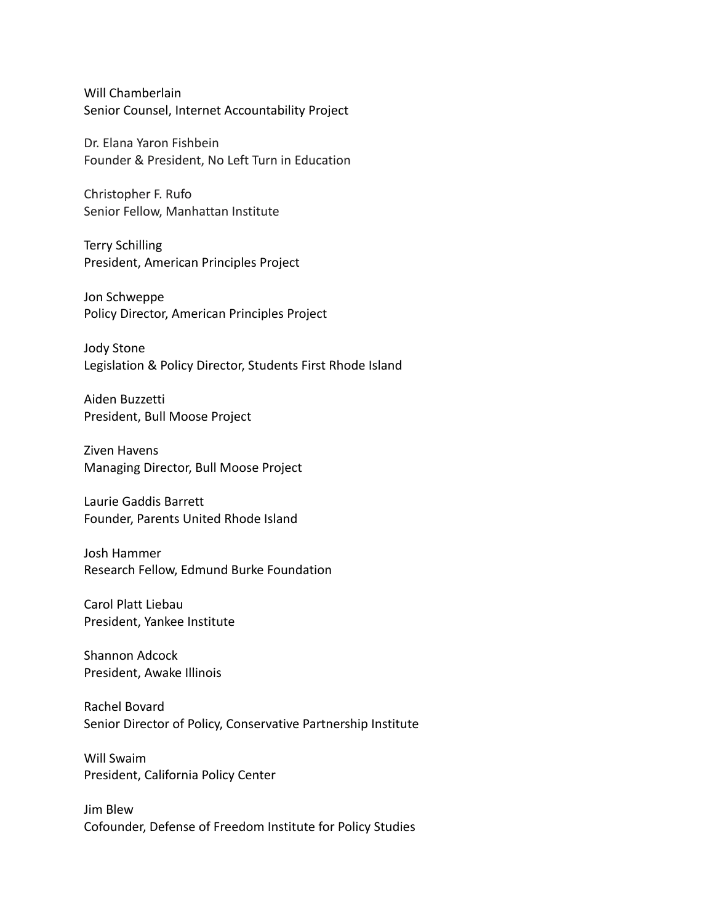Will Chamberlain Senior Counsel, Internet Accountability Project

Dr. Elana Yaron Fishbein Founder & President, No Left Turn in Education

Christopher F. Rufo Senior Fellow, Manhattan Institute

Terry Schilling President, American Principles Project

Jon Schweppe Policy Director, American Principles Project

Jody Stone Legislation & Policy Director, Students First Rhode Island

Aiden Buzzetti President, Bull Moose Project

Ziven Havens Managing Director, Bull Moose Project

Laurie Gaddis Barrett Founder, Parents United Rhode Island

Josh Hammer Research Fellow, Edmund Burke Foundation

Carol Platt Liebau President, Yankee Institute

Shannon Adcock President, Awake Illinois

Rachel Bovard Senior Director of Policy, Conservative Partnership Institute

Will Swaim President, California Policy Center

Jim Blew Cofounder, Defense of Freedom Institute for Policy Studies